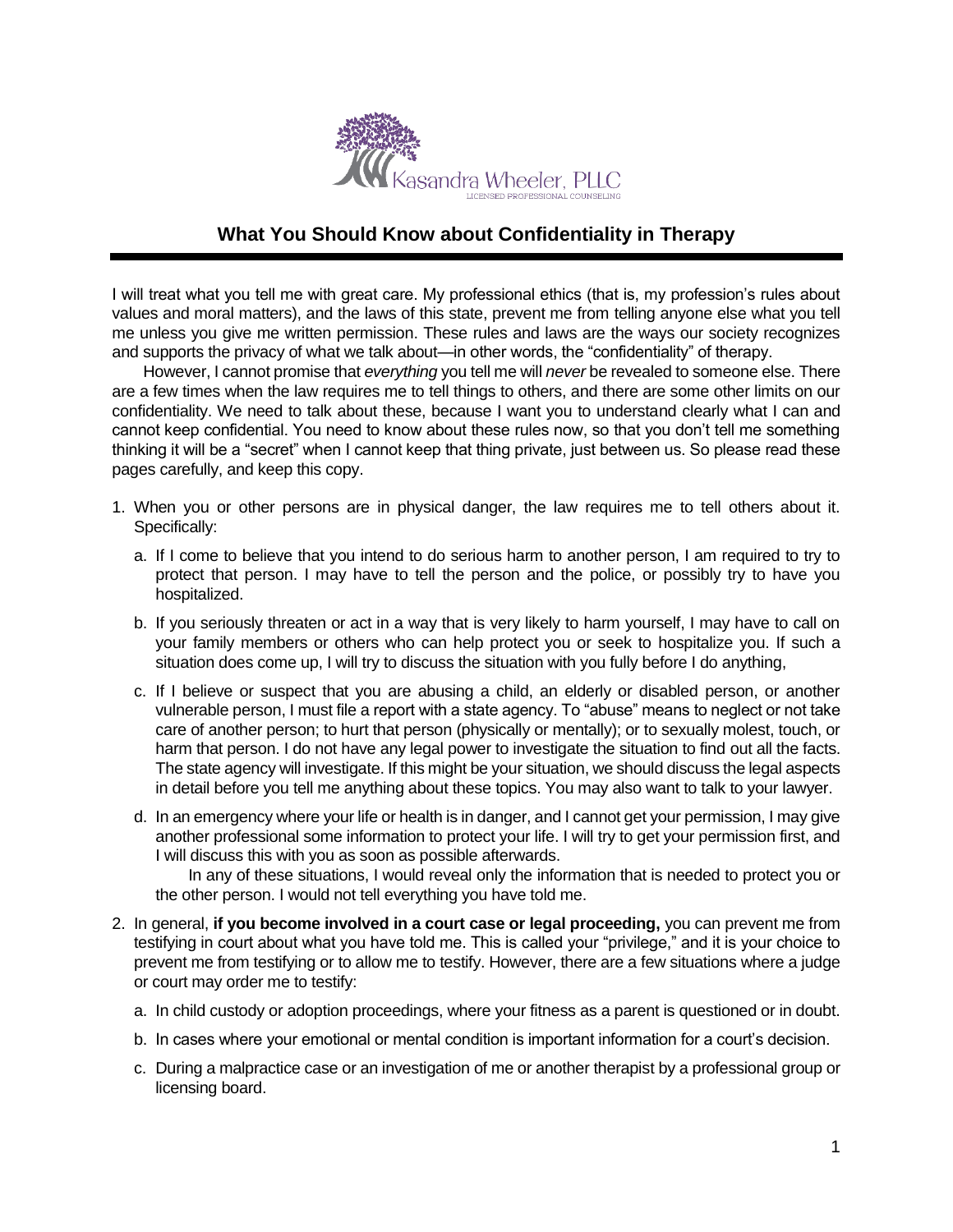

## **What You Should Know about Confidentiality in Therapy**

I will treat what you tell me with great care. My professional ethics (that is, my profession's rules about values and moral matters), and the laws of this state, prevent me from telling anyone else what you tell me unless you give me written permission. These rules and laws are the ways our society recognizes and supports the privacy of what we talk about—in other words, the "confidentiality" of therapy.

However, I cannot promise that *everything* you tell me will *never* be revealed to someone else. There are a few times when the law requires me to tell things to others, and there are some other limits on our confidentiality. We need to talk about these, because I want you to understand clearly what I can and cannot keep confidential. You need to know about these rules now, so that you don't tell me something thinking it will be a "secret" when I cannot keep that thing private, just between us. So please read these pages carefully, and keep this copy.

- 1. When you or other persons are in physical danger, the law requires me to tell others about it. Specifically:
	- a. If I come to believe that you intend to do serious harm to another person, I am required to try to protect that person. I may have to tell the person and the police, or possibly try to have you hospitalized.
	- b. If you seriously threaten or act in a way that is very likely to harm yourself, I may have to call on your family members or others who can help protect you or seek to hospitalize you. If such a situation does come up, I will try to discuss the situation with you fully before I do anything,
	- c. If I believe or suspect that you are abusing a child, an elderly or disabled person, or another vulnerable person, I must file a report with a state agency. To "abuse" means to neglect or not take care of another person; to hurt that person (physically or mentally); or to sexually molest, touch, or harm that person. I do not have any legal power to investigate the situation to find out all the facts. The state agency will investigate. If this might be your situation, we should discuss the legal aspects in detail before you tell me anything about these topics. You may also want to talk to your lawyer.
	- d. In an emergency where your life or health is in danger, and I cannot get your permission, I may give another professional some information to protect your life. I will try to get your permission first, and I will discuss this with you as soon as possible afterwards.

In any of these situations, I would reveal only the information that is needed to protect you or the other person. I would not tell everything you have told me.

- 2. In general, **if you become involved in a court case or legal proceeding,** you can prevent me from testifying in court about what you have told me. This is called your "privilege," and it is your choice to prevent me from testifying or to allow me to testify. However, there are a few situations where a judge or court may order me to testify:
	- a. In child custody or adoption proceedings, where your fitness as a parent is questioned or in doubt.
	- b. In cases where your emotional or mental condition is important information for a court's decision.
	- c. During a malpractice case or an investigation of me or another therapist by a professional group or licensing board.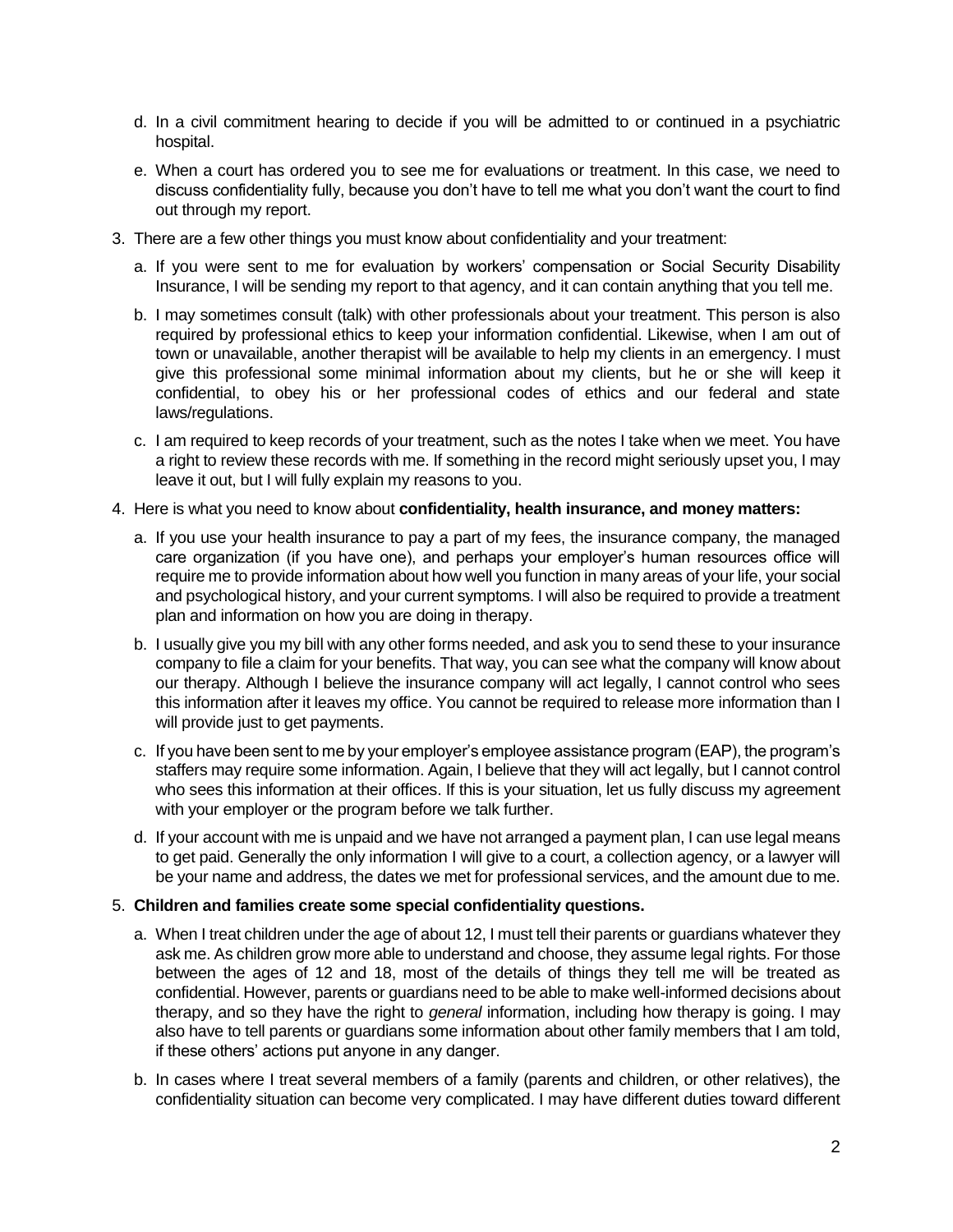- d. In a civil commitment hearing to decide if you will be admitted to or continued in a psychiatric hospital.
- e. When a court has ordered you to see me for evaluations or treatment. In this case, we need to discuss confidentiality fully, because you don't have to tell me what you don't want the court to find out through my report.
- 3. There are a few other things you must know about confidentiality and your treatment:
	- a. If you were sent to me for evaluation by workers' compensation or Social Security Disability Insurance, I will be sending my report to that agency, and it can contain anything that you tell me.
	- b. I may sometimes consult (talk) with other professionals about your treatment. This person is also required by professional ethics to keep your information confidential. Likewise, when I am out of town or unavailable, another therapist will be available to help my clients in an emergency. I must give this professional some minimal information about my clients, but he or she will keep it confidential, to obey his or her professional codes of ethics and our federal and state laws/regulations.
	- c. I am required to keep records of your treatment, such as the notes I take when we meet. You have a right to review these records with me. If something in the record might seriously upset you, I may leave it out, but I will fully explain my reasons to you.
- 4. Here is what you need to know about **confidentiality, health insurance, and money matters:**
	- a. If you use your health insurance to pay a part of my fees, the insurance company, the managed care organization (if you have one), and perhaps your employer's human resources office will require me to provide information about how well you function in many areas of your life, your social and psychological history, and your current symptoms. I will also be required to provide a treatment plan and information on how you are doing in therapy.
	- b. I usually give you my bill with any other forms needed, and ask you to send these to your insurance company to file a claim for your benefits. That way, you can see what the company will know about our therapy. Although I believe the insurance company will act legally, I cannot control who sees this information after it leaves my office. You cannot be required to release more information than I will provide just to get payments.
	- c. If you have been sent to me by your employer's employee assistance program (EAP), the program's staffers may require some information. Again, I believe that they will act legally, but I cannot control who sees this information at their offices. If this is your situation, let us fully discuss my agreement with your employer or the program before we talk further.
	- d. If your account with me is unpaid and we have not arranged a payment plan, I can use legal means to get paid. Generally the only information I will give to a court, a collection agency, or a lawyer will be your name and address, the dates we met for professional services, and the amount due to me.

## 5. **Children and families create some special confidentiality questions.**

- a. When I treat children under the age of about 12, I must tell their parents or guardians whatever they ask me. As children grow more able to understand and choose, they assume legal rights. For those between the ages of 12 and 18, most of the details of things they tell me will be treated as confidential. However, parents or guardians need to be able to make well-informed decisions about therapy, and so they have the right to *general* information, including how therapy is going. I may also have to tell parents or guardians some information about other family members that I am told, if these others' actions put anyone in any danger.
- b. In cases where I treat several members of a family (parents and children, or other relatives), the confidentiality situation can become very complicated. I may have different duties toward different